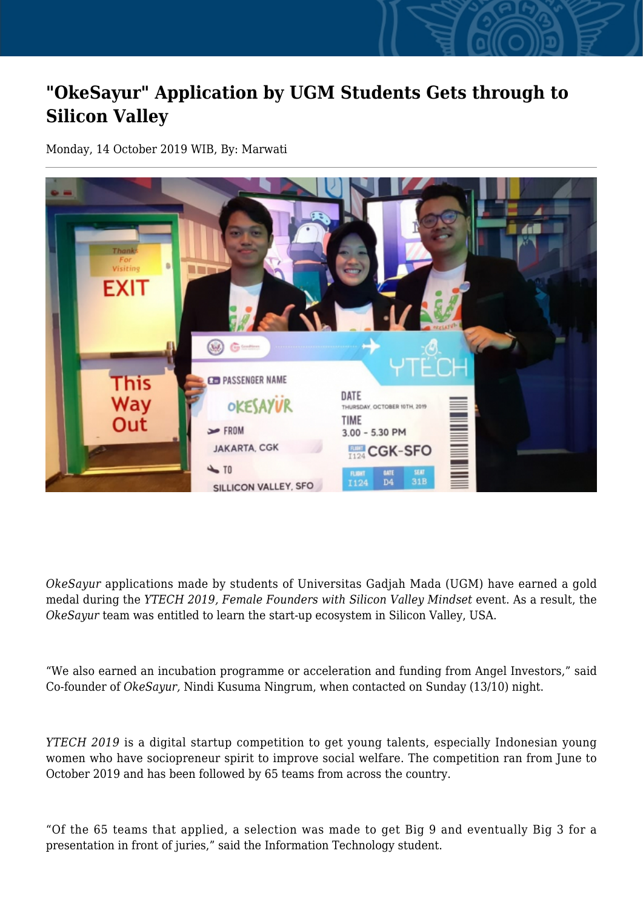## **"OkeSayur" Application by UGM Students Gets through to Silicon Valley**

Monday, 14 October 2019 WIB, By: Marwati



*OkeSayur* applications made by students of Universitas Gadjah Mada (UGM) have earned a gold medal during the *YTECH 2019, Female Founders with Silicon Valley Mindset* event. As a result, the *OkeSayur* team was entitled to learn the start-up ecosystem in Silicon Valley, USA.

"We also earned an incubation programme or acceleration and funding from Angel Investors," said Co-founder of *OkeSayur,* Nindi Kusuma Ningrum, when contacted on Sunday (13/10) night.

*YTECH 2019* is a digital startup competition to get young talents, especially Indonesian young women who have sociopreneur spirit to improve social welfare. The competition ran from June to October 2019 and has been followed by 65 teams from across the country.

"Of the 65 teams that applied, a selection was made to get Big 9 and eventually Big 3 for a presentation in front of juries," said the Information Technology student.